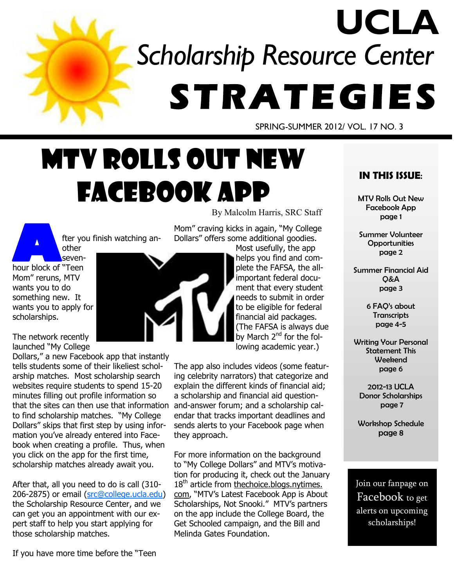# *Scholarship Resource Center*  **S T R A T E G IE S UCLA**

SPRING-SUMMER 2012/ VOL. 17 NO. 3

# MTV Rolls Out New Facebook App

By Malcolm Harris, SRC Staff

fter you finish watching another

**A A A Example 1**<br> **A Example 1**<br> **Example 1**<br> **Example 1** sevenhour block of "Teen Mom" reruns, MTV wants you to do something new. It wants you to apply for scholarships.

The network recently launched "My College

Dollars," a new Facebook app that instantly tells students some of their likeliest scholarship matches. Most scholarship search websites require students to spend 15-20 minutes filling out profile information so that the sites can then use that information to find scholarship matches. "My College Dollars" skips that first step by using information you've already entered into Facebook when creating a profile. Thus, when you click on the app for the first time, scholarship matches already await you.

After that, all you need to do is call (310- 206-2875) or email ([src@college.ucla.edu\)](mailto:src@college.ucla.edu)  the Scholarship Resource Center, and we can get you an appointment with our expert staff to help you start applying for those scholarship matches.

If you have more time before the "Teen

Mom" craving kicks in again, "My College Dollars" offers some additional goodies.

Most usefully, the app helps you find and complete the FAFSA, the allimportant federal document that every student needs to submit in order to be eligible for federal financial aid packages. (The FAFSA is always due by March 2<sup>nd</sup> for the following academic year.)

The app also includes videos (some featuring celebrity narrators) that categorize and explain the different kinds of financial aid; a scholarship and financial aid questionand-answer forum; and a scholarship calendar that tracks important deadlines and sends alerts to your Facebook page when they approach.

For more information on the background to "My College Dollars" and MTV's motivation for producing it, check out the January  $18<sup>th</sup>$  article from thechoice.blogs.nytimes. com, "MTV's Latest Facebook App is About Scholarships, Not Snooki." MTV's partners on the app include the College Board, the Get Schooled campaign, and the Bill and Melinda Gates Foundation.

### **IN THIS ISSUE**:

MTV Rolls Out New Facebook App page 1

Summer Volunteer **Opportunities** page 2

Summer Financial Aid Q&A page 3

> 6 FAQ's about **Transcripts** page 4-5

Writing Your Personal Statement This Weekend page 6

2012-13 UCLA Donor Scholarships page 7

Workshop Schedule page 8

Join our fanpage on Facebook to get alerts on upcoming scholarships!

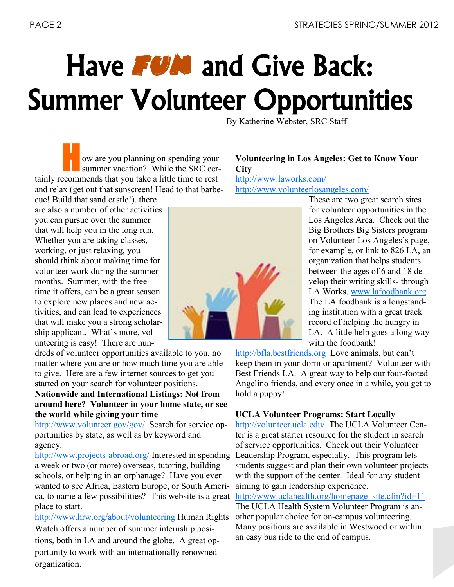# Have **FUN** and Give Back: Summer Volunteer Opportunities

By Katherine Webster, SRC Staff

H ow are you planning on spending your summer vacation? While the SRC certainly recommends that you take a little time to rest and relax (get out that sunscreen! Head to that barbe-

cue! Build that sand castle!), there are also a number of other activities you can pursue over the summer that will help you in the long run. Whether you are taking classes, working, or just relaxing, you should think about making time for volunteer work during the summer months. Summer, with the free time it offers, can be a great season to explore new places and new activities, and can lead to experiences that will make you a strong scholarship applicant. What's more, volunteering is easy! There are hun-

dreds of volunteer opportunities available to you, no matter where you are or how much time you are able to give. Here are a few internet sources to get you started on your search for volunteer positions. **Nationwide and International Listings: Not from** 

### **around here? Volunteer in your home state, or see the world while giving your time**

<http://www.volunteer.gov/gov/>Search for service opportunities by state, as well as by keyword and agency.

[http://www.projects](http://www.projects-abroad.org/)-abroad.org/ Interested in spending a week or two (or more) overseas, tutoring, building schools, or helping in an orphanage? Have you ever wanted to see Africa, Eastern Europe, or South America, to name a few possibilities? This website is a great place to start.

<http://www.hrw.org/about/volunteering> Human Rights Watch offers a number of summer internship positions, both in LA and around the globe. A great opportunity to work with an internationally renowned organization.

### **Volunteering in Los Angeles: Get to Know Your City** <http://www.laworks.com/>

<http://www.volunteerlosangeles.com/>

These are two great search sites for volunteer opportunities in the Los Angeles Area. Check out the Big Brothers Big Sisters program on Volunteer Los Angeles's page, for example, or link to 826 LA, an organization that helps students between the ages of 6 and 18 develop their writing skills- through LA Works. [www.lafoodbank.org](http://www.lafoodbank.org)  The LA foodbank is a longstanding institution with a great track record of helping the hungry in LA. A little help goes a long way with the foodbank!

<http://bfla.bestfriends.org>Love animals, but can't keep them in your dorm or apartment? Volunteer with Best Friends LA. A great way to help our four-footed Angelino friends, and every once in a while, you get to hold a puppy!

### **UCLA Volunteer Programs: Start Locally**

<http://volunteer.ucla.edu/>The UCLA Volunteer Center is a great starter resource for the student in search of service opportunities. Check out their Volunteer Leadership Program, especially. This program lets students suggest and plan their own volunteer projects with the support of the center. Ideal for any student aiming to gain leadership experience.

http://www.uclahealth.org/homepage\_site.cfm?id=11

The UCLA Health System Volunteer Program is another popular choice for on-campus volunteering. Many positions are available in Westwood or within an easy bus ride to the end of campus.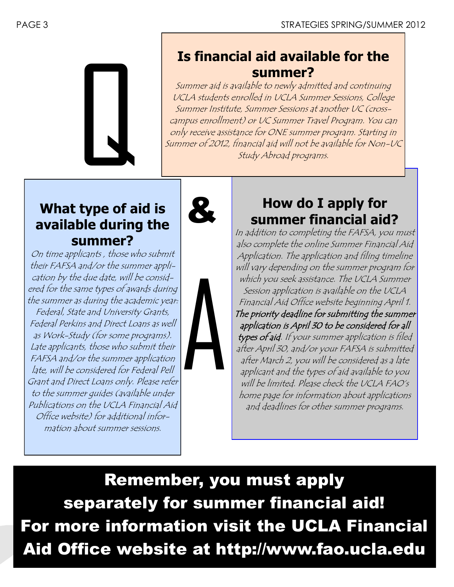

# **Is financial aid available for the summer?**

Summer aid is available to newly admitted and continuing UCLA students enrolled in UCLA Summer Sessions, College Summer Institute, Summer Sessions at another UC (crosscampus enrollment) or UC Summer Travel Program. You can only receive assistance for ONE summer program. Starting in Summer of 2012, financial aid will not be available for Non-UC Study Abroad programs.

## **What type of aid is available during the summer?**

On time applicants , those who submit their FAFSA and/or the summer application by the due date, will be considered for the same types of awards during the summer as during the academic year: Federal, State and University Grants, Federal Perkins and Direct Loans as well as Work-Study (for some programs). Late applicants, those who submit their FAFSA and/or the summer application late, will be considered for Federal Pell Grant and Direct Loans only. Please refer to the summer guides (available under Publications on the UCLA Financial Aid Office website) for additional information about summer sessions.





# **How do I apply for summer financial aid?**

In addition to completing the FAFSA, you must also complete the online Summer Financial Aid Application. The application and filing timeline will vary depending on the summer program for which you seek assistance. The UCLA Summer Session application is available on the UCLA Financial Aid Office website beginning April 1. The priority deadline for submitting the summer application is April 30 to be considered for all types of aid. If your summer application is filed after April 30, and/or your FAFSA is submitted after March 2, you will be considered as a late applicant and the types of aid available to you will be limited. Please check the UCLA FAO's home page for information about applications and deadlines for other summer programs.

Remember, you must apply separately for summer financial aid! For more information visit the UCLA Financial Aid Office website at http://www.fao.ucla.edu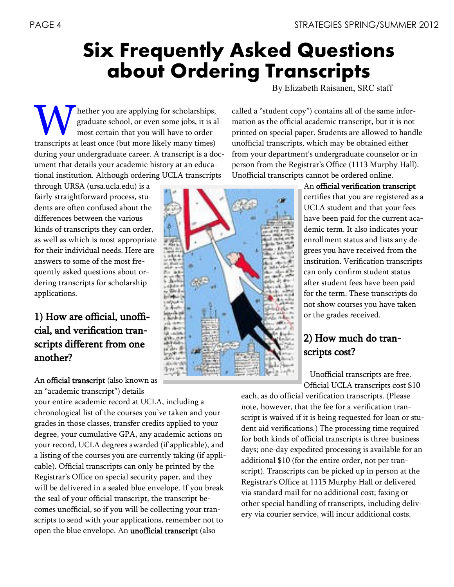# **Six Frequently Asked Questions about Ordering Transcripts**

By Elizabeth Raisanen, SRC staff

W hether you are applying for scholarships, graduate school, or even some jobs, it is a most certain that you will have to order transcripts at least once (but more likely many times) hether you are applying for scholarships, graduate school, or even some jobs, it is almost certain that you will have to order during your undergraduate career. A transcript is a document that details your academic history at an educational institution. Although ordering UCLA transcripts

through URSA (ursa.ucla.edu) is a fairly straightforward process, students are often confused about the differences between the various kinds of transcripts they can order, as well as which is most appropriate for their individual needs. Here are answers to some of the most frequently asked questions about ordering transcripts for scholarship applications.

1) How are official, unofficial, and verification transcripts different from one another?

An official transcript (also known as an "academic transcript") details

your entire academic record at UCLA, including a chronological list of the courses you've taken and your grades in those classes, transfer credits applied to your degree, your cumulative GPA, any academic actions on your record, UCLA degrees awarded (if applicable), and a listing of the courses you are currently taking (if applicable). Official transcripts can only be printed by the Registrar's Office on special security paper, and they will be delivered in a sealed blue envelope. If you break the seal of your official transcript, the transcript becomes unofficial, so if you will be collecting your transcripts to send with your applications, remember not to open the blue envelope. An unofficial transcript (also



called a "student copy") contains all of the same information as the official academic transcript, but it is not printed on special paper. Students are allowed to handle unofficial transcripts, which may be obtained either from your department's undergraduate counselor or in person from the Registrar's Office (1113 Murphy Hall). Unofficial transcripts cannot be ordered online.

> An official verification transcript certifies that you are registered as a UCLA student and that your fees have been paid for the current academic term. It also indicates your enrollment status and lists any degrees you have received from the institution. Verification transcripts can only confirm student status after student fees have been paid for the term. These transcripts do not show courses you have taken or the grades received.

## 2) How much do transcripts cost?

 Unofficial transcripts are free. Official UCLA transcripts cost \$10

each, as do official verification transcripts. (Please note, however, that the fee for a verification transcript is waived if it is being requested for loan or student aid verifications.) The processing time required for both kinds of official transcripts is three business days; one-day expedited processing is available for an additional \$10 (for the entire order, not per transcript). Transcripts can be picked up in person at the Registrar's Office at 1115 Murphy Hall or delivered via standard mail for no additional cost; faxing or other special handling of transcripts, including delivery via courier service, will incur additional costs.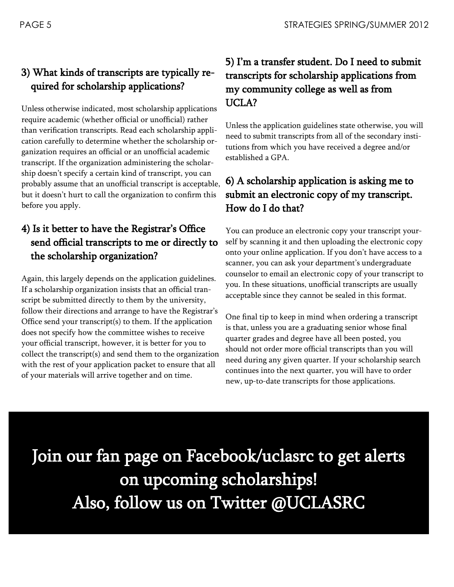## 3) What kinds of transcripts are typically required for scholarship applications?

Unless otherwise indicated, most scholarship applications require academic (whether official or unofficial) rather than verification transcripts. Read each scholarship application carefully to determine whether the scholarship organization requires an official or an unofficial academic transcript. If the organization administering the scholarship doesn't specify a certain kind of transcript, you can probably assume that an unofficial transcript is acceptable, but it doesn't hurt to call the organization to confirm this before you apply.

### 4) Is it better to have the Registrar's Office send official transcripts to me or directly to the scholarship organization?

Again, this largely depends on the application guidelines. If a scholarship organization insists that an official transcript be submitted directly to them by the university, follow their directions and arrange to have the Registrar's Office send your transcript(s) to them. If the application does not specify how the committee wishes to receive your official transcript, however, it is better for you to collect the transcript(s) and send them to the organization with the rest of your application packet to ensure that all of your materials will arrive together and on time.

## 5) I'm a transfer student. Do I need to submit transcripts for scholarship applications from my community college as well as from UCLA?

Unless the application guidelines state otherwise, you will need to submit transcripts from all of the secondary institutions from which you have received a degree and/or established a GPA.

### 6) A scholarship application is asking me to submit an electronic copy of my transcript. How do I do that?

You can produce an electronic copy your transcript yourself by scanning it and then uploading the electronic copy onto your online application. If you don't have access to a scanner, you can ask your department's undergraduate counselor to email an electronic copy of your transcript to you. In these situations, unofficial transcripts are usually acceptable since they cannot be sealed in this format.

One final tip to keep in mind when ordering a transcript is that, unless you are a graduating senior whose final quarter grades and degree have all been posted, you should not order more official transcripts than you will need during any given quarter. If your scholarship search continues into the next quarter, you will have to order new, up-to-date transcripts for those applications.

Join our fan page on Facebook/uclasrc to get alerts on upcoming scholarships! Also, follow us on Twitter @UCLASRC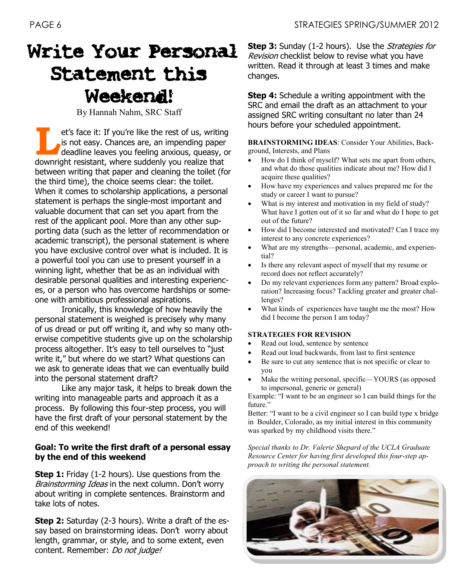# Write Your Personal Statement this Weekend!

By Hannah Nahm, SRC Staff

**LEVEN SERVIS ENDINEER SERVIS AND THE RESISTED THE VIS AND THE VIS AND THE VIS AND THE VIS AND THE VIS AND THE VIS AND THE VIS AND THE VIS AND THE VIS AND THE VIS AND THE VIS AND THE VIS AND THE VIS AND THE VIS AND THE VIS** et's face it: If you're like the rest of us, writing is not easy. Chances are, an impending paper deadline leaves you feeling anxious, queasy, or between writing that paper and cleaning the toilet (for the third time), the choice seems clear: the toilet. When it comes to scholarship applications, a personal statement is perhaps the single-most important and valuable document that can set you apart from the rest of the applicant pool. More than any other supporting data (such as the letter of recommendation or academic transcript), the personal statement is where you have exclusive control over what is included. It is a powerful tool you can use to present yourself in a winning light, whether that be as an individual with desirable personal qualities and interesting experiences, or a person who has overcome hardships or someone with ambitious professional aspirations.

Ironically, this knowledge of how heavily the personal statement is weighed is precisely why many of us dread or put off writing it, and why so many otherwise competitive students give up on the scholarship process altogether. It's easy to tell ourselves to "just write it," but where do we start? What questions can we ask to generate ideas that we can eventually build into the personal statement draft?

Like any major task, it helps to break down the writing into manageable parts and approach it as a process. By following this four-step process, you will have the first draft of your personal statement by the end of this weekend!

#### **Goal: To write the first draft of a personal essay by the end of this weekend**

**Step 1:** Friday (1-2 hours). Use questions from the Brainstorming Ideas in the next column. Don't worry about writing in complete sentences. Brainstorm and take lots of notes.

**Step 2:** Saturday (2-3 hours). Write a draft of the essay based on brainstorming ideas. Don't worry about length, grammar, or style, and to some extent, even content. Remember: Do not judge!

**Step 3:** Sunday (1-2 hours). Use the *Strategies for* Revision checklist below to revise what you have written. Read it through at least 3 times and make changes.

**Step 4:** Schedule a writing appointment with the SRC and email the draft as an attachment to your assigned SRC writing consultant no later than 24 hours before your scheduled appointment.

**BRAINSTORMING IDEAS**: Consider Your Abilities, Background, Interests, and Plans

- How do I think of myself? What sets me apart from others, and what do those qualities indicate about me? How did I acquire these qualities?
- How have my experiences and values prepared me for the study or career I want to pursue?
- What is my interest and motivation in my field of study? What have I gotten out of it so far and what do I hope to get out of the future?
- How did I become interested and motivated? Can I trace my interest to any concrete experiences?
- What are my strengths—personal, academic, and experiential?
- Is there any relevant aspect of myself that my resume or record does not reflect accurately?
- Do my relevant experiences form any pattern? Broad exploration? Increasing focus? Tackling greater and greater challenges?
- What kinds of experiences have taught me the most? How did I become the person I am today?

#### **STRATEGIES FOR REVISION**

- Read out loud, sentence by sentence
- Read out loud backwards, from last to first sentence
- Be sure to cut any sentence that is not specific or clear to you
- Make the writing personal, specific—YOURS (as opposed to impersonal, generic or general)

Example: "I want to be an engineer so I can build things for the future."

Better: "I want to be a civil engineer so I can build type x bridge in Boulder, Colorado, as my initial interest in this community was sparked by my childhood visits there."

*Special thanks to Dr. Valerie Shepard of the UCLA Graduate Resource Center for having first developed this four-step approach to writing the personal statement.*

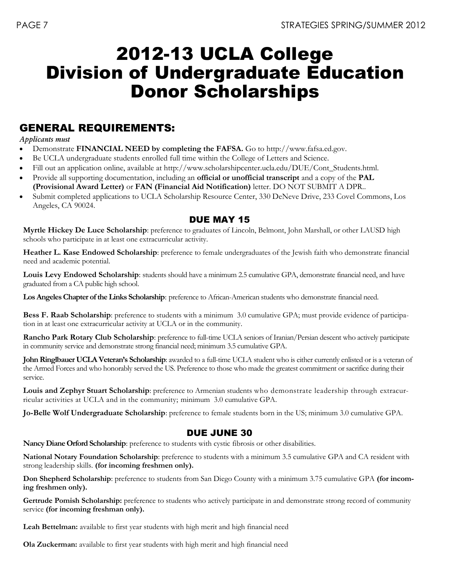# 2012-13 UCLA College Division of Undergraduate Education Donor Scholarships

### GENERAL REQUIREMENTS:

#### *Applicants must*

- Demonstrate **FINANCIAL NEED by completing the FAFSA.** Go to http://www.fafsa.ed.gov.
- Be UCLA undergraduate students enrolled full time within the College of Letters and Science.
- Fill out an application online, available at http://www.scholarshipcenter.ucla.edu/DUE/Cont\_Students.html.
- Provide all supporting documentation, including an **official or unofficial transcript** and a copy of the **PAL (Provisional Award Letter)** or **FAN (Financial Aid Notification)** letter. DO NOT SUBMIT A DPR..
- Submit completed applications to UCLA Scholarship Resource Center, 330 DeNeve Drive, 233 Covel Commons, Los Angeles, CA 90024.

### DUE MAY 15

**Myrtle Hickey De Luce Scholarship**: preference to graduates of Lincoln, Belmont, John Marshall, or other LAUSD high schools who participate in at least one extracurricular activity.

**Heather L. Kase Endowed Scholarship**: preference to female undergraduates of the Jewish faith who demonstrate financial need and academic potential.

**Louis Levy Endowed Scholarship**: students should have a minimum 2.5 cumulative GPA, demonstrate financial need, and have graduated from a CA public high school.

**Los Angeles Chapter of the Links Scholarship**: preference to African-American students who demonstrate financial need.

**Bess F. Raab Scholarship**: preference to students with a minimum 3.0 cumulative GPA; must provide evidence of participation in at least one extracurricular activity at UCLA or in the community.

**Rancho Park Rotary Club Scholarship**: preference to full-time UCLA seniors of Iranian/Persian descent who actively participate in community service and demonstrate strong financial need; minimum 3.5 cumulative GPA.

**John Ringlbauer UCLA Veteran's Scholarship**: awarded to a full-time UCLA student who is either currently enlisted or is a veteran of the Armed Forces and who honorably served the US. Preference to those who made the greatest commitment or sacrifice during their service.

**Louis and Zephyr Stuart Scholarship**: preference to Armenian students who demonstrate leadership through extracurricular activities at UCLA and in the community; minimum 3.0 cumulative GPA.

**Jo-Belle Wolf Undergraduate Scholarship**: preference to female students born in the US; minimum 3.0 cumulative GPA.

### DUE JUNE 30

**Nancy Diane Orford Scholarship**: preference to students with cystic fibrosis or other disabilities.

**National Notary Foundation Scholarship**: preference to students with a minimum 3.5 cumulative GPA and CA resident with strong leadership skills. **(for incoming freshmen only).**

**Don Shepherd Scholarship**: preference to students from San Diego County with a minimum 3.75 cumulative GPA **(for incoming freshmen only).**

Gertrude Pomish Scholarship: preference to students who actively participate in and demonstrate strong record of community service **(for incoming freshman only).**

**Leah Bettelman:** available to first year students with high merit and high financial need

**Ola Zuckerman:** available to first year students with high merit and high financial need